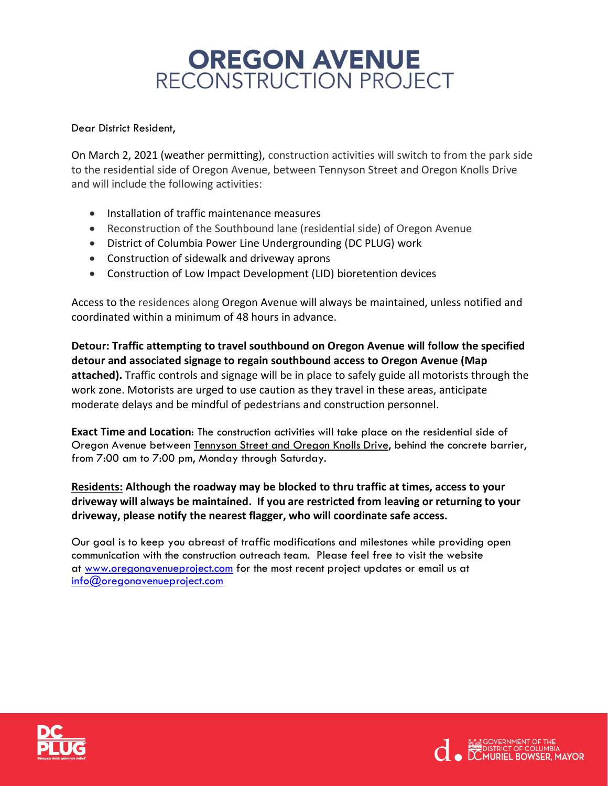## **OREGON AVENUE** RECONSTRUCTION PROJECT

## Dear District Resident,

On March 2, 2021 (weather permitting), construction activities will switch to from the park side to the residential side of Oregon Avenue, between Tennyson Street and Oregon Knolls Drive and will include the following activities:

- Installation of traffic maintenance measures
- Reconstruction of the Southbound lane (residential side) of Oregon Avenue
- District of Columbia Power Line Undergrounding (DC PLUG) work
- Construction of sidewalk and driveway aprons
- Construction of Low Impact Development (LID) bioretention devices

Access to the residences along Oregon Avenue will always be maintained, unless notified and coordinated within a minimum of 48 hours in advance.

**Detour: Traffic attempting to travel southbound on Oregon Avenue will follow the specified detour and associated signage to regain southbound access to Oregon Avenue (Map attached).** Traffic controls and signage will be in place to safely guide all motorists through the work zone. Motorists are urged to use caution as they travel in these areas, anticipate moderate delays and be mindful of pedestrians and construction personnel.

**Exact Time and Location**: The construction activities will take place on the residential side of Oregon Avenue between Tennyson Street and Oregon Knolls Drive, behind the concrete barrier, from 7:00 am to 7:00 pm, Monday through Saturday.

**Residents: Although the roadway may be blocked to thru traffic at times, access to your driveway will always be maintained. If you are restricted from leaving or returning to your driveway, please notify the nearest flagger, who will coordinate safe access.**

Our goal is to keep you abreast of traffic modifications and milestones while providing open communication with the construction outreach team. Please feel free to visit the website at www.oregonavenueproject.com for the most recent project updates or email us at info@oregonavenueproject.com